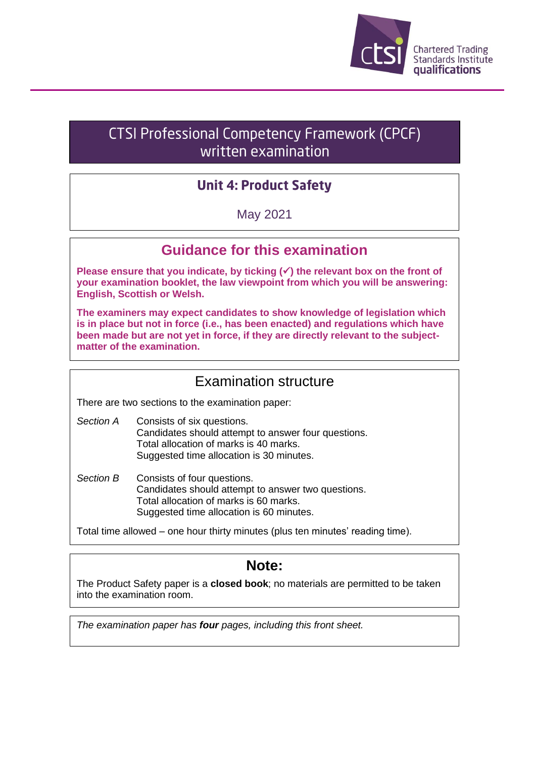

# **CTSI Professional Competency Framework (CPCF)** written examination

# **Unit 4: Product Safety**

May 2021

# **Guidance for this examination**

**Please ensure that you indicate, by ticking (**✓**) the relevant box on the front of your examination booklet, the law viewpoint from which you will be answering: English, Scottish or Welsh.**

**The examiners may expect candidates to show knowledge of legislation which is in place but not in force (i.e., has been enacted) and regulations which have been made but are not yet in force, if they are directly relevant to the subjectmatter of the examination.**

### Examination structure

There are two sections to the examination paper:

- *Section A* Consists of six questions. Candidates should attempt to answer four questions. Total allocation of marks is 40 marks. Suggested time allocation is 30 minutes.
- *Section B* Consists of four questions. Candidates should attempt to answer two questions. Total allocation of marks is 60 marks. Suggested time allocation is 60 minutes.

Total time allowed – one hour thirty minutes (plus ten minutes' reading time).

### **Note:**

The Product Safety paper is a **closed book**; no materials are permitted to be taken into the examination room.

*The examination paper has four pages, including this front sheet.*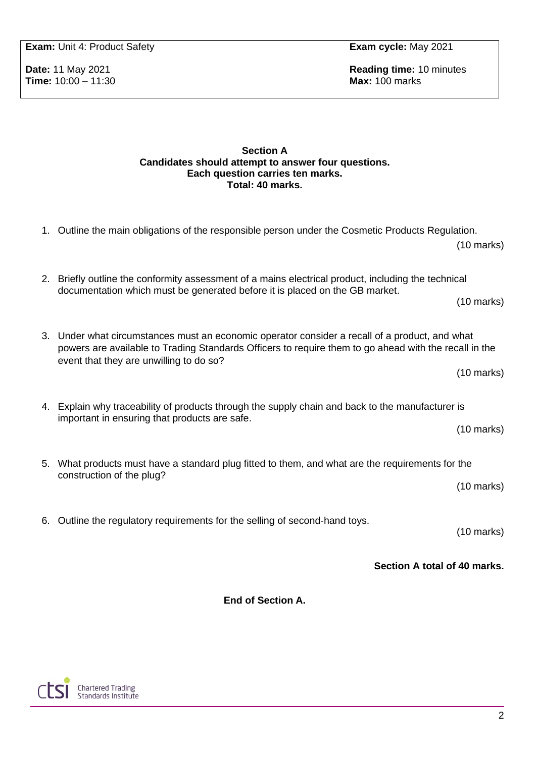**Exam:** Unit 4: Product Safety **Exam cycle:** May 2021

**Time: 10:00 - 11:30** 

**Date:** 11 May 2021 **Reading time:** 10 minutes **Reading time:** 10 minutes **Time:** 10:00 – 11:30

#### **Section A Candidates should attempt to answer four questions. Each question carries ten marks. Total: 40 marks.**

| <b>End of Section A.</b> |                                                                                                                                                                                    |                      |  |
|--------------------------|------------------------------------------------------------------------------------------------------------------------------------------------------------------------------------|----------------------|--|
|                          | Section A total of 40 marks.                                                                                                                                                       |                      |  |
|                          | 6. Outline the regulatory requirements for the selling of second-hand toys.                                                                                                        | $(10 \text{ marks})$ |  |
|                          | 5. What products must have a standard plug fitted to them, and what are the requirements for the<br>construction of the plug?                                                      | $(10 \text{ marks})$ |  |
|                          | important in ensuring that products are safe.                                                                                                                                      | $(10 \text{ marks})$ |  |
|                          | 4. Explain why traceability of products through the supply chain and back to the manufacturer is                                                                                   |                      |  |
|                          | powers are available to Trading Standards Officers to require them to go ahead with the recall in the<br>event that they are unwilling to do so?<br>$(10 \text{ marks})$           |                      |  |
|                          | 3. Under what circumstances must an economic operator consider a recall of a product, and what                                                                                     | $(10 \text{ marks})$ |  |
|                          | 2. Briefly outline the conformity assessment of a mains electrical product, including the technical<br>documentation which must be generated before it is placed on the GB market. |                      |  |
|                          | 1. Outline the main obligations of the responsible person under the Cosmetic Products Regulation.                                                                                  | $(10 \text{ marks})$ |  |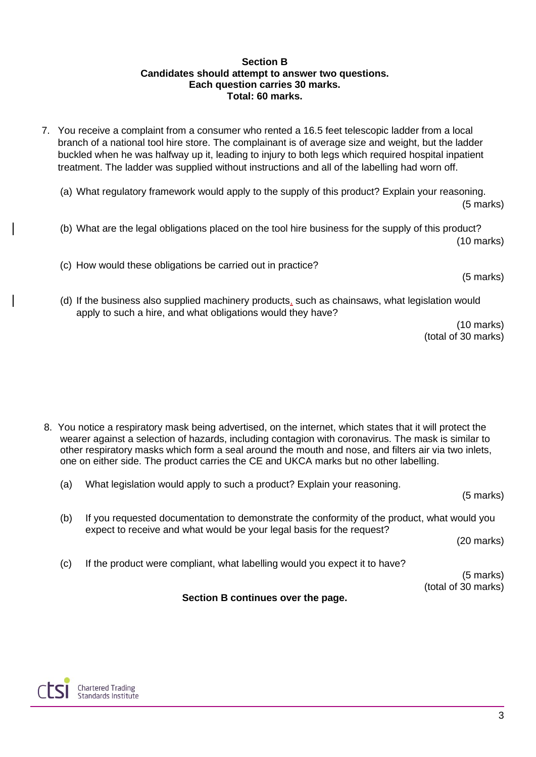#### **Section B Candidates should attempt to answer two questions. Each question carries 30 marks. Total: 60 marks.**

- 7. You receive a complaint from a consumer who rented a 16.5 feet telescopic ladder from a local branch of a national tool hire store. The complainant is of average size and weight, but the ladder buckled when he was halfway up it, leading to injury to both legs which required hospital inpatient treatment. The ladder was supplied without instructions and all of the labelling had worn off.
	- (a) What regulatory framework would apply to the supply of this product? Explain your reasoning. (5 marks)
	- (b) What are the legal obligations placed on the tool hire business for the supply of this product? (10 marks)
	- (c) How would these obligations be carried out in practice?

(5 marks)

(d) If the business also supplied machinery products, such as chainsaws, what legislation would apply to such a hire, and what obligations would they have?

(10 marks) (total of 30 marks)

8. You notice a respiratory mask being advertised, on the internet, which states that it will protect the wearer against a selection of hazards, including contagion with coronavirus. The mask is similar to other respiratory masks which form a seal around the mouth and nose, and filters air via two inlets, one on either side. The product carries the CE and UKCA marks but no other labelling.

(a) What legislation would apply to such a product? Explain your reasoning.

(5 marks) (b) If you requested documentation to demonstrate the conformity of the product, what would you expect to receive and what would be your legal basis for the request? (20 marks) (c) If the product were compliant, what labelling would you expect it to have? (5 marks) (total of 30 marks) **Section B continues over the page.**



3